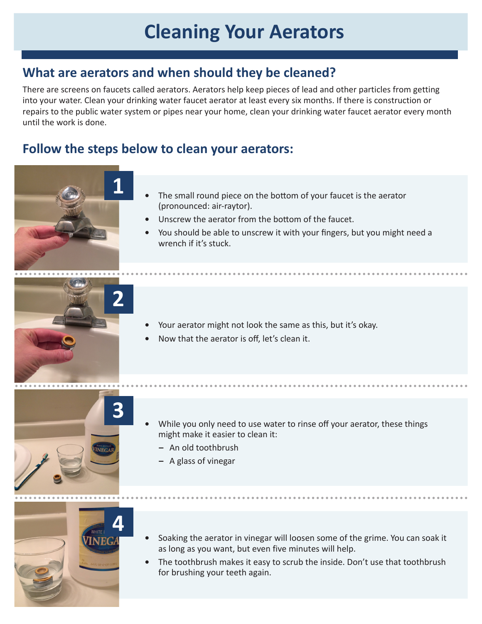## **Cleaning Your Aerators**

## **What are aerators and when should they be cleaned?**

There are screens on faucets called aerators. Aerators help keep pieces of lead and other particles from getting into your water. Clean your drinking water faucet aerator at least every six months. If there is construction or repairs to the public water system or pipes near your home, clean your drinking water faucet aerator every month until the work is done.

## **Follow the steps below to clean your aerators:**

**1**

- **•** The small round piece on the bottom of your faucet is the aerator (pronounced: air-raytor).
- **•** Unscrew the aerator from the bottom of the faucet.
- **•** You should be able to unscrew it with your fingers, but you might need a wrench if it's stuck.



- **•** Your aerator might not look the same as this, but it's okay.
- **•** Now that the aerator is off, let's clean it.



- **•** While you only need to use water to rinse off your aerator, these things might make it easier to clean it:
	- **–** An old toothbrush
	- **–** A glass of vinegar



- **•** Soaking the aerator in vinegar will loosen some of the grime. You can soak it as long as you want, but even five minutes will help.
- **•** The toothbrush makes it easy to scrub the inside. Don't use that toothbrush for brushing your teeth again.